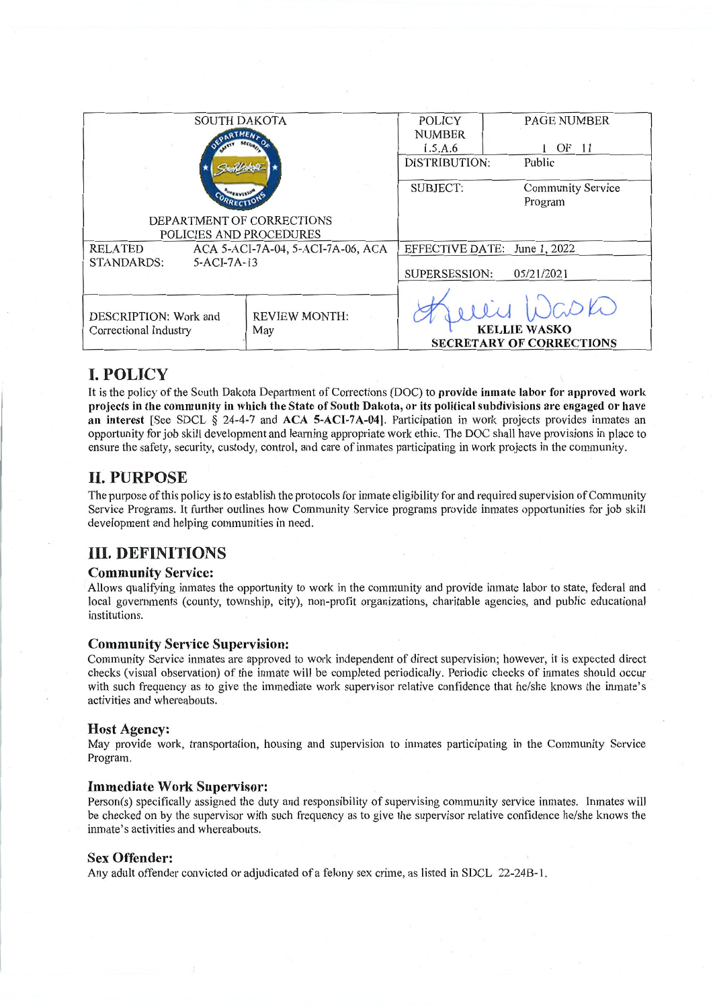| <b>SOUTH DAKOTA</b>                           |                                   | <b>POLICY</b>                      | <b>PAGE NUMBER</b>              |
|-----------------------------------------------|-----------------------------------|------------------------------------|---------------------------------|
|                                               |                                   | <b>NUMBER</b>                      |                                 |
|                                               |                                   | 1.5.A.6                            | 1 OF 11                         |
|                                               |                                   | <b>DISTRIBUTION:</b>               | Public                          |
|                                               |                                   |                                    |                                 |
|                                               |                                   | <b>SUBJECT:</b>                    | <b>Community Service</b>        |
|                                               |                                   |                                    | Program                         |
| DEPARTMENT OF CORRECTIONS                     |                                   |                                    |                                 |
| POLICIES AND PROCEDURES                       |                                   |                                    |                                 |
| <b>RELATED</b>                                | ACA 5-ACI-7A-04, 5-ACI-7A-06, ACA | EFFECTIVE DATE: June 1, 2022       |                                 |
| <b>STANDARDS:</b><br>$5-ACI-7A-13$            |                                   |                                    |                                 |
|                                               |                                   | <b>SUPERSESSION:</b><br>05/21/2021 |                                 |
|                                               |                                   |                                    |                                 |
| <b>REVIEW MONTH:</b><br>DESCRIPTION: Work and |                                   |                                    |                                 |
| Correctional Industry<br>May                  |                                   |                                    | <b>KELLIE WASKO</b>             |
|                                               |                                   |                                    | <b>SECRETARY OF CORRECTIONS</b> |
|                                               |                                   |                                    |                                 |

## **I. POLICY**

It is the policy of the South Dakota Department of Corrections (DOC) to provide inmate labor for approved work projects in the community in which the State of South Dakota, or its political subdivisions are engaged or have an interest [See SDCL § 24-4-7 and ACA 5-ACI-7A-04]. Participation in work projects provides inmates an opportunity for job skill development and learning appropriate work ethic. The DOC shall have provisions in place to ensure the safety, security, custody, control, and care of inmates participating in work projects in the community.

## **II. PURPOSE**

The purpose of this policy is to establish the protocols for inmate eligibility for and required supervision of Community Service Programs. It further outlines how Community Service programs provide inmates opportunities for job skill development and helping communities in need.

## **III. DEFINITIONS**

#### **Community Service:**

Allows qualifying inmates the opportunity to work in the community and provide inmate labor to state, federal and local governments (county, township, city), non-profit organizations, charitable agencies, and public educational institutions.

#### **Community Service Supervision:**

Community Service inmates are approved to work independent of direct supervision; however, it is expected direct checks (visual observation) of the inmate will be completed periodically. Periodic checks of inmates should occur with such frequency as to give the immediate work supervisor relative confidence that he/she knows the inmate's activities and whereabouts.

#### **Host Agency:**

May provide work, transportation, housing and supervision to inmates participating in the Community Service Program.

#### **Immediate Work Supervisor:**

Person(s) specifically assigned the duty and responsibility of supervising community service inmates. Inmates will be checked on by the supervisor with such frequency as to give the supervisor relative confidence he/she knows the inmate's activities and whereabouts.

#### **Sex Offender:**

Any adult offender convicted or adjudicated of a felony sex crime, as listed in SDCL 22-24B-1.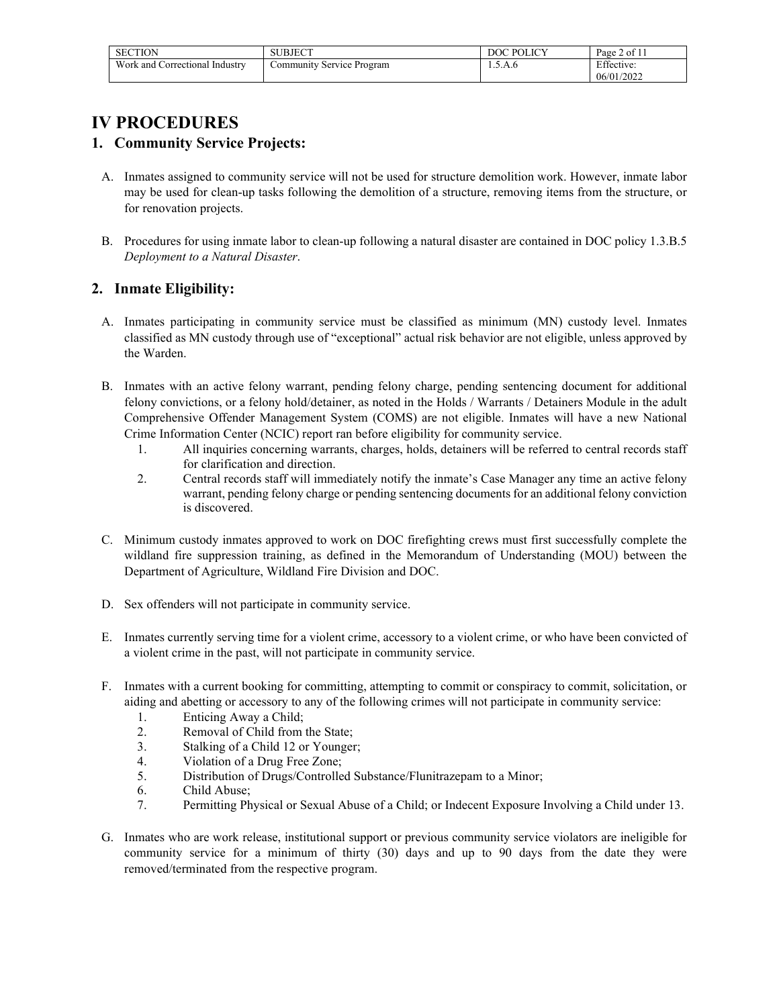| SECTION                        | <b>SUBJECT</b>            | P <sub>O</sub><br><b>LICV</b><br>റ $\epsilon$ | $2$ of $1^\circ$<br>Page. |
|--------------------------------|---------------------------|-----------------------------------------------|---------------------------|
| Work and Correctional Industry | Community Service Program | 1.O.A.0                                       | Effective:                |
|                                |                           |                                               | 06/01/2022                |

# **IV PROCEDURES**

### **1. Community Service Projects:**

- A. Inmates assigned to community service will not be used for structure demolition work. However, inmate labor may be used for clean-up tasks following the demolition of a structure, removing items from the structure, or for renovation projects.
- B. Procedures for using inmate labor to clean-up following a natural disaster are contained in DOC policy 1.3.B.5 *Deployment to a Natural Disaster*.

### **2. Inmate Eligibility:**

- A. Inmates participating in community service must be classified as minimum (MN) custody level. Inmates classified as MN custody through use of "exceptional" actual risk behavior are not eligible, unless approved by the Warden.
- B. Inmates with an active felony warrant, pending felony charge, pending sentencing document for additional felony convictions, or a felony hold/detainer, as noted in the Holds / Warrants / Detainers Module in the adult Comprehensive Offender Management System (COMS) are not eligible. Inmates will have a new National Crime Information Center (NCIC) report ran before eligibility for community service.
	- 1. All inquiries concerning warrants, charges, holds, detainers will be referred to central records staff for clarification and direction.
	- 2. Central records staff will immediately notify the inmate's Case Manager any time an active felony warrant, pending felony charge or pending sentencing documents for an additional felony conviction is discovered.
- C. Minimum custody inmates approved to work on DOC firefighting crews must first successfully complete the wildland fire suppression training, as defined in the Memorandum of Understanding (MOU) between the Department of Agriculture, Wildland Fire Division and DOC.
- D. Sex offenders will not participate in community service.
- E. Inmates currently serving time for a violent crime, accessory to a violent crime, or who have been convicted of a violent crime in the past, will not participate in community service.
- F. Inmates with a current booking for committing, attempting to commit or conspiracy to commit, solicitation, or aiding and abetting or accessory to any of the following crimes will not participate in community service:
	- 1. Enticing Away a Child;
	- 2. Removal of Child from the State;
	- 3. Stalking of a Child 12 or Younger;
	- 4. Violation of a Drug Free Zone;
	- 5. Distribution of Drugs/Controlled Substance/Flunitrazepam to a Minor;<br>6. Child Abuse;
	- Child Abuse;
	- 7. Permitting Physical or Sexual Abuse of a Child; or Indecent Exposure Involving a Child under 13.
- G. Inmates who are work release, institutional support or previous community service violators are ineligible for community service for a minimum of thirty (30) days and up to 90 days from the date they were removed/terminated from the respective program.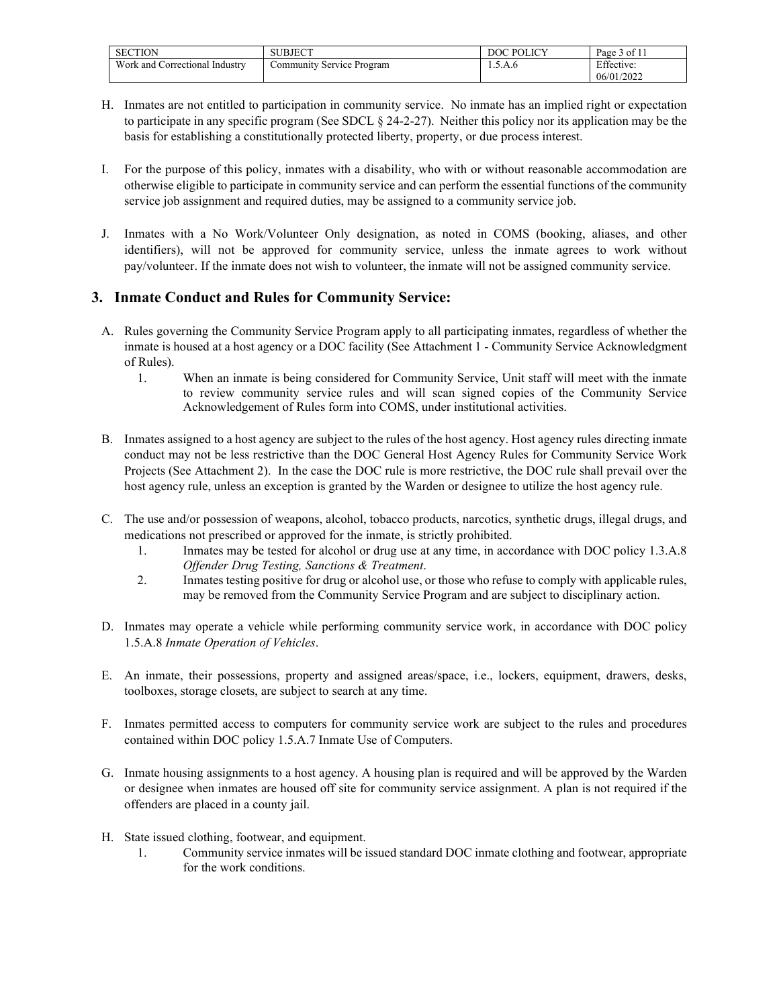| <b>SECTION</b>                    | <b>SURIECT</b><br>$\sim$ UBJEU. | POLICY<br>DOC | $^{\circ}$ of $11$<br>Page |
|-----------------------------------|---------------------------------|---------------|----------------------------|
| Work and<br>Correctional Industry | Service Program<br>.ommunity    | 1.0.A.0       | Effective:                 |
|                                   |                                 |               | 06/01/2022                 |

- H. Inmates are not entitled to participation in community service. No inmate has an implied right or expectation to participate in any specific program (See SDCL § 24-2-27). Neither this policy nor its application may be the basis for establishing a constitutionally protected liberty, property, or due process interest.
- I. For the purpose of this policy, inmates with a disability, who with or without reasonable accommodation are otherwise eligible to participate in community service and can perform the essential functions of the community service job assignment and required duties, may be assigned to a community service job.
- J. Inmates with a No Work/Volunteer Only designation, as noted in COMS (booking, aliases, and other identifiers), will not be approved for community service, unless the inmate agrees to work without pay/volunteer. If the inmate does not wish to volunteer, the inmate will not be assigned community service.

### **3. Inmate Conduct and Rules for Community Service:**

- A. Rules governing the Community Service Program apply to all participating inmates, regardless of whether the inmate is housed at a host agency or a DOC facility (See Attachment 1 - Community Service Acknowledgment of Rules).
	- 1. When an inmate is being considered for Community Service, Unit staff will meet with the inmate to review community service rules and will scan signed copies of the Community Service Acknowledgement of Rules form into COMS, under institutional activities.
- B. Inmates assigned to a host agency are subject to the rules of the host agency. Host agency rules directing inmate conduct may not be less restrictive than the DOC General Host Agency Rules for Community Service Work Projects (See Attachment 2). In the case the DOC rule is more restrictive, the DOC rule shall prevail over the host agency rule, unless an exception is granted by the Warden or designee to utilize the host agency rule.
- C. The use and/or possession of weapons, alcohol, tobacco products, narcotics, synthetic drugs, illegal drugs, and medications not prescribed or approved for the inmate, is strictly prohibited.
	- 1. Inmates may be tested for alcohol or drug use at any time, in accordance with DOC policy 1.3.A.8 *Offender Drug Testing, Sanctions & Treatment*.
	- 2. Inmates testing positive for drug or alcohol use, or those who refuse to comply with applicable rules, may be removed from the Community Service Program and are subject to disciplinary action.
- D. Inmates may operate a vehicle while performing community service work, in accordance with DOC policy 1.5.A.8 *Inmate Operation of Vehicles*.
- E. An inmate, their possessions, property and assigned areas/space, i.e., lockers, equipment, drawers, desks, toolboxes, storage closets, are subject to search at any time.
- F. Inmates permitted access to computers for community service work are subject to the rules and procedures contained within DOC policy 1.5.A.7 Inmate Use of Computers.
- G. Inmate housing assignments to a host agency. A housing plan is required and will be approved by the Warden or designee when inmates are housed off site for community service assignment. A plan is not required if the offenders are placed in a county jail.
- H. State issued clothing, footwear, and equipment.
	- 1. Community service inmates will be issued standard DOC inmate clothing and footwear, appropriate for the work conditions.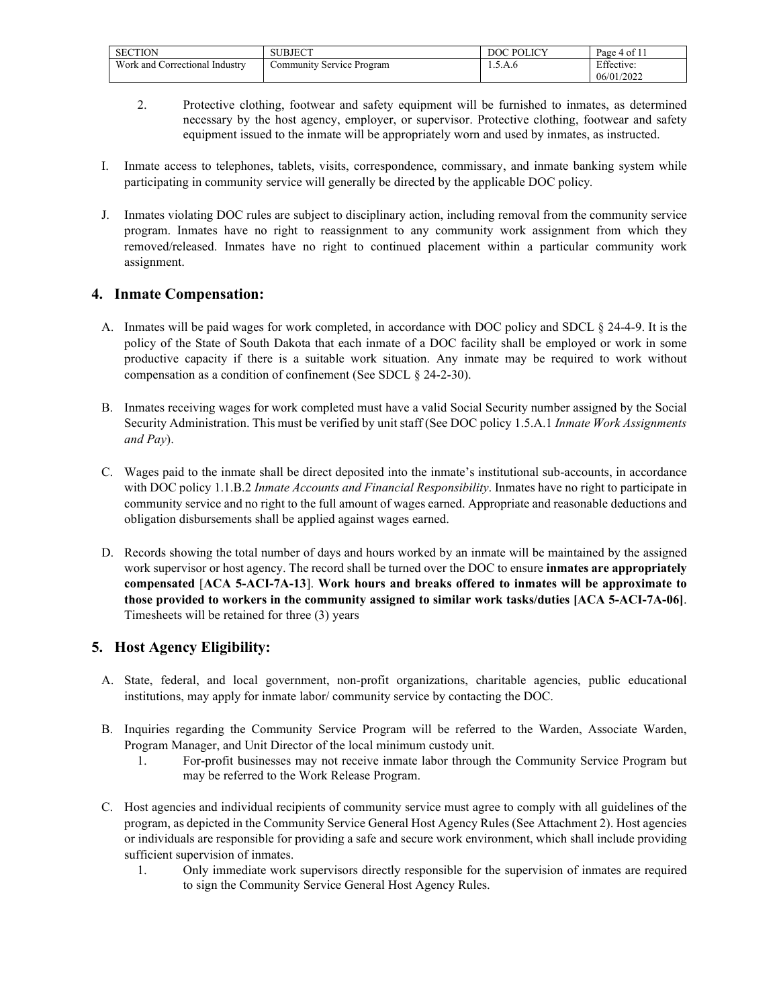| <b>SECTION</b>                    | UBJECT<br>эU                        | POLICY<br>DОC               | Page 4 of 1 |
|-----------------------------------|-------------------------------------|-----------------------------|-------------|
| Work and<br>Correctional Industrv | Service Program<br><b>Community</b> | А<br>$\ldots \ldots \ldots$ | Effective:  |
|                                   |                                     |                             | 06/01/2022  |

- 2. Protective clothing, footwear and safety equipment will be furnished to inmates, as determined necessary by the host agency, employer, or supervisor. Protective clothing, footwear and safety equipment issued to the inmate will be appropriately worn and used by inmates, as instructed.
- I. Inmate access to telephones, tablets, visits, correspondence, commissary, and inmate banking system while participating in community service will generally be directed by the applicable DOC policy*.*
- J. Inmates violating DOC rules are subject to disciplinary action, including removal from the community service program. Inmates have no right to reassignment to any community work assignment from which they removed/released. Inmates have no right to continued placement within a particular community work assignment.

#### **4. Inmate Compensation:**

- A. Inmates will be paid wages for work completed, in accordance with DOC policy and SDCL § 24-4-9. It is the policy of the State of South Dakota that each inmate of a DOC facility shall be employed or work in some productive capacity if there is a suitable work situation. Any inmate may be required to work without compensation as a condition of confinement (See SDCL § 24-2-30).
- B. Inmates receiving wages for work completed must have a valid Social Security number assigned by the Social Security Administration. This must be verified by unit staff (See DOC policy 1.5.A.1 *Inmate Work Assignments and Pay*).
- C. Wages paid to the inmate shall be direct deposited into the inmate's institutional sub-accounts, in accordance with DOC policy 1.1.B.2 *Inmate Accounts and Financial Responsibility*. Inmates have no right to participate in community service and no right to the full amount of wages earned. Appropriate and reasonable deductions and obligation disbursements shall be applied against wages earned.
- D. Records showing the total number of days and hours worked by an inmate will be maintained by the assigned work supervisor or host agency. The record shall be turned over the DOC to ensure **inmates are appropriately compensated** [**ACA 5-ACI-7A-13**]. **Work hours and breaks offered to inmates will be approximate to those provided to workers in the community assigned to similar work tasks/duties [ACA 5-ACI-7A-06]**. Timesheets will be retained for three (3) years

### **5. Host Agency Eligibility:**

- A. State, federal, and local government, non-profit organizations, charitable agencies, public educational institutions, may apply for inmate labor/ community service by contacting the DOC.
- B. Inquiries regarding the Community Service Program will be referred to the Warden, Associate Warden, Program Manager, and Unit Director of the local minimum custody unit.
	- 1. For-profit businesses may not receive inmate labor through the Community Service Program but may be referred to the Work Release Program.
- C. Host agencies and individual recipients of community service must agree to comply with all guidelines of the program, as depicted in the Community Service General Host Agency Rules (See Attachment 2). Host agencies or individuals are responsible for providing a safe and secure work environment, which shall include providing sufficient supervision of inmates.
	- 1. Only immediate work supervisors directly responsible for the supervision of inmates are required to sign the Community Service General Host Agency Rules.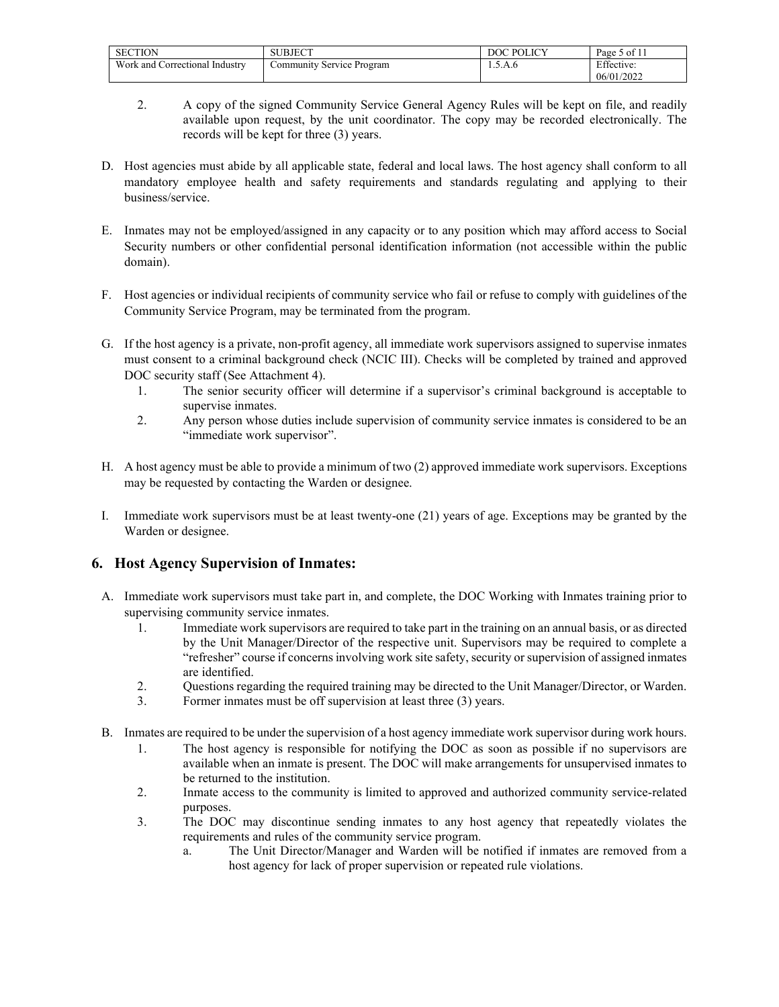| <b>SECTION</b>                               | SUBJECT                                          | DOC POLICV    | $^{\circ}$ 1<br>Page<br>$\gamma$ of 1. |
|----------------------------------------------|--------------------------------------------------|---------------|----------------------------------------|
| Work and <b>v</b><br>l Correctional Industry | <sup><i>I</i></sup> Service Program<br>ommunity/ | А<br>1.3.71.0 | Effective:                             |
|                                              |                                                  |               | 06/01/2022                             |

- 2. A copy of the signed Community Service General Agency Rules will be kept on file, and readily available upon request, by the unit coordinator. The copy may be recorded electronically. The records will be kept for three (3) years.
- D. Host agencies must abide by all applicable state, federal and local laws. The host agency shall conform to all mandatory employee health and safety requirements and standards regulating and applying to their business/service.
- E. Inmates may not be employed/assigned in any capacity or to any position which may afford access to Social Security numbers or other confidential personal identification information (not accessible within the public domain).
- F. Host agencies or individual recipients of community service who fail or refuse to comply with guidelines of the Community Service Program, may be terminated from the program.
- G. If the host agency is a private, non-profit agency, all immediate work supervisors assigned to supervise inmates must consent to a criminal background check (NCIC III). Checks will be completed by trained and approved DOC security staff (See Attachment 4).
	- 1. The senior security officer will determine if a supervisor's criminal background is acceptable to supervise inmates.
	- 2. Any person whose duties include supervision of community service inmates is considered to be an "immediate work supervisor".
- H. A host agency must be able to provide a minimum of two (2) approved immediate work supervisors. Exceptions may be requested by contacting the Warden or designee.
- I. Immediate work supervisors must be at least twenty-one (21) years of age. Exceptions may be granted by the Warden or designee.

### **6. Host Agency Supervision of Inmates:**

- A. Immediate work supervisors must take part in, and complete, the DOC Working with Inmates training prior to supervising community service inmates.
	- 1. Immediate work supervisors are required to take part in the training on an annual basis, or as directed by the Unit Manager/Director of the respective unit. Supervisors may be required to complete a "refresher" course if concerns involving work site safety, security or supervision of assigned inmates are identified.
	- 2. Questions regarding the required training may be directed to the Unit Manager/Director, or Warden.
	- 3. Former inmates must be off supervision at least three (3) years.
- B. Inmates are required to be under the supervision of a host agency immediate work supervisor during work hours.
	- 1. The host agency is responsible for notifying the DOC as soon as possible if no supervisors are available when an inmate is present. The DOC will make arrangements for unsupervised inmates to be returned to the institution.
	- 2. Inmate access to the community is limited to approved and authorized community service-related purposes.
	- 3. The DOC may discontinue sending inmates to any host agency that repeatedly violates the requirements and rules of the community service program.
		- a. The Unit Director/Manager and Warden will be notified if inmates are removed from a host agency for lack of proper supervision or repeated rule violations.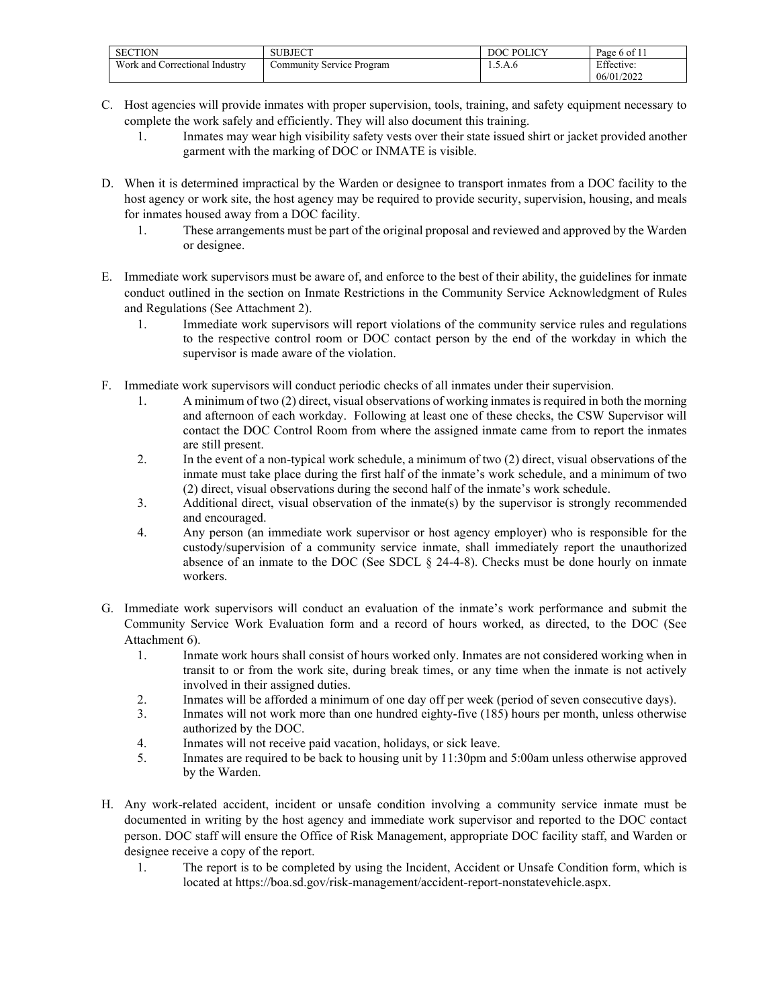| <b>SECTION</b>                      | <b>JBJECT</b>             | <b>DOC POLI</b><br>LICV | $\sim$ $\sim$<br>Page 6 of |
|-------------------------------------|---------------------------|-------------------------|----------------------------|
| Work and C<br>Correctional Industry | Community Service Program | 1.5.A.0                 | Effective:                 |
|                                     |                           |                         | 06/01/2022                 |

- C. Host agencies will provide inmates with proper supervision, tools, training, and safety equipment necessary to complete the work safely and efficiently. They will also document this training.
	- 1. Inmates may wear high visibility safety vests over their state issued shirt or jacket provided another garment with the marking of DOC or INMATE is visible.
- D. When it is determined impractical by the Warden or designee to transport inmates from a DOC facility to the host agency or work site, the host agency may be required to provide security, supervision, housing, and meals for inmates housed away from a DOC facility.
	- 1. These arrangements must be part of the original proposal and reviewed and approved by the Warden or designee.
- E. Immediate work supervisors must be aware of, and enforce to the best of their ability, the guidelines for inmate conduct outlined in the section on Inmate Restrictions in the Community Service Acknowledgment of Rules and Regulations (See Attachment 2).
	- 1. Immediate work supervisors will report violations of the community service rules and regulations to the respective control room or DOC contact person by the end of the workday in which the supervisor is made aware of the violation.
- F. Immediate work supervisors will conduct periodic checks of all inmates under their supervision.
	- 1. A minimum of two (2) direct, visual observations of working inmates is required in both the morning and afternoon of each workday. Following at least one of these checks, the CSW Supervisor will contact the DOC Control Room from where the assigned inmate came from to report the inmates are still present.
	- 2. In the event of a non-typical work schedule, a minimum of two (2) direct, visual observations of the inmate must take place during the first half of the inmate's work schedule, and a minimum of two (2) direct, visual observations during the second half of the inmate's work schedule.
	- 3. Additional direct, visual observation of the inmate(s) by the supervisor is strongly recommended and encouraged.
	- 4. Any person (an immediate work supervisor or host agency employer) who is responsible for the custody/supervision of a community service inmate, shall immediately report the unauthorized absence of an inmate to the DOC (See SDCL  $\S$  24-4-8). Checks must be done hourly on inmate workers.
- G. Immediate work supervisors will conduct an evaluation of the inmate's work performance and submit the Community Service Work Evaluation form and a record of hours worked, as directed, to the DOC (See Attachment 6).
	- 1. Inmate work hours shall consist of hours worked only. Inmates are not considered working when in transit to or from the work site, during break times, or any time when the inmate is not actively involved in their assigned duties.
	- 2. Inmates will be afforded a minimum of one day off per week (period of seven consecutive days).
	- 3. Inmates will not work more than one hundred eighty-five (185) hours per month, unless otherwise authorized by the DOC.
	- 4. Inmates will not receive paid vacation, holidays, or sick leave.
	- 5. Inmates are required to be back to housing unit by 11:30pm and 5:00am unless otherwise approved by the Warden.
- H. Any work-related accident, incident or unsafe condition involving a community service inmate must be documented in writing by the host agency and immediate work supervisor and reported to the DOC contact person. DOC staff will ensure the Office of Risk Management, appropriate DOC facility staff, and Warden or designee receive a copy of the report.
	- 1. The report is to be completed by using the Incident, Accident or Unsafe Condition form, which is located at https://boa.sd.gov/risk-management/accident-report-nonstatevehicle.aspx.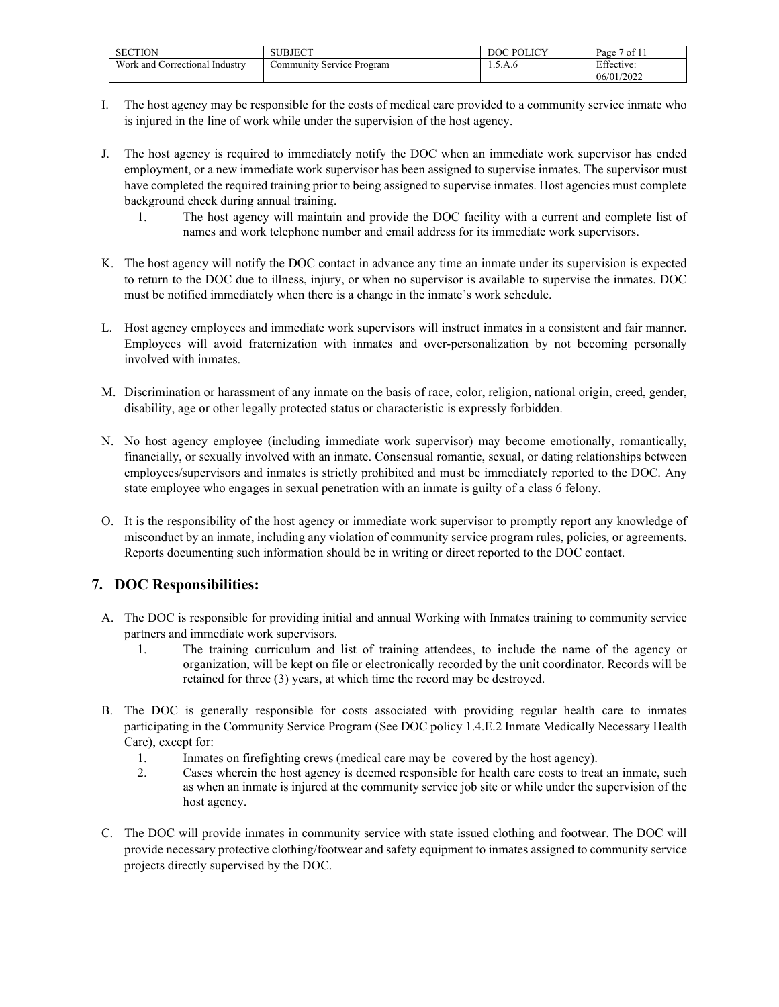| <b>SECTION</b>                         | <b>IDOT</b><br>$\sim$ BJEC. | <b>POLICY</b><br>DOC | ' of 11<br>Page |
|----------------------------------------|-----------------------------|----------------------|-----------------|
| Work and<br>. Industrv<br>_orrectional | Service Program<br>ommunity | 1.0.A.0              | Effective:      |
|                                        |                             |                      | 06/01/2022      |

- I. The host agency may be responsible for the costs of medical care provided to a community service inmate who is injured in the line of work while under the supervision of the host agency.
- J. The host agency is required to immediately notify the DOC when an immediate work supervisor has ended employment, or a new immediate work supervisor has been assigned to supervise inmates. The supervisor must have completed the required training prior to being assigned to supervise inmates. Host agencies must complete background check during annual training.
	- 1. The host agency will maintain and provide the DOC facility with a current and complete list of names and work telephone number and email address for its immediate work supervisors.
- K. The host agency will notify the DOC contact in advance any time an inmate under its supervision is expected to return to the DOC due to illness, injury, or when no supervisor is available to supervise the inmates. DOC must be notified immediately when there is a change in the inmate's work schedule.
- L. Host agency employees and immediate work supervisors will instruct inmates in a consistent and fair manner. Employees will avoid fraternization with inmates and over-personalization by not becoming personally involved with inmates.
- M. Discrimination or harassment of any inmate on the basis of race, color, religion, national origin, creed, gender, disability, age or other legally protected status or characteristic is expressly forbidden.
- N. No host agency employee (including immediate work supervisor) may become emotionally, romantically, financially, or sexually involved with an inmate. Consensual romantic, sexual, or dating relationships between employees/supervisors and inmates is strictly prohibited and must be immediately reported to the DOC. Any state employee who engages in sexual penetration with an inmate is guilty of a class 6 felony.
- O. It is the responsibility of the host agency or immediate work supervisor to promptly report any knowledge of misconduct by an inmate, including any violation of community service program rules, policies, or agreements. Reports documenting such information should be in writing or direct reported to the DOC contact.

### **7. DOC Responsibilities:**

- A. The DOC is responsible for providing initial and annual Working with Inmates training to community service partners and immediate work supervisors.
	- 1. The training curriculum and list of training attendees, to include the name of the agency or organization, will be kept on file or electronically recorded by the unit coordinator. Records will be retained for three (3) years, at which time the record may be destroyed.
- B. The DOC is generally responsible for costs associated with providing regular health care to inmates participating in the Community Service Program (See DOC policy 1.4.E.2 Inmate Medically Necessary Health Care), except for:
	- 1. Inmates on firefighting crews (medical care may be covered by the host agency).
	- 2. Cases wherein the host agency is deemed responsible for health care costs to treat an inmate, such as when an inmate is injured at the community service job site or while under the supervision of the host agency.
- C. The DOC will provide inmates in community service with state issued clothing and footwear. The DOC will provide necessary protective clothing/footwear and safety equipment to inmates assigned to community service projects directly supervised by the DOC.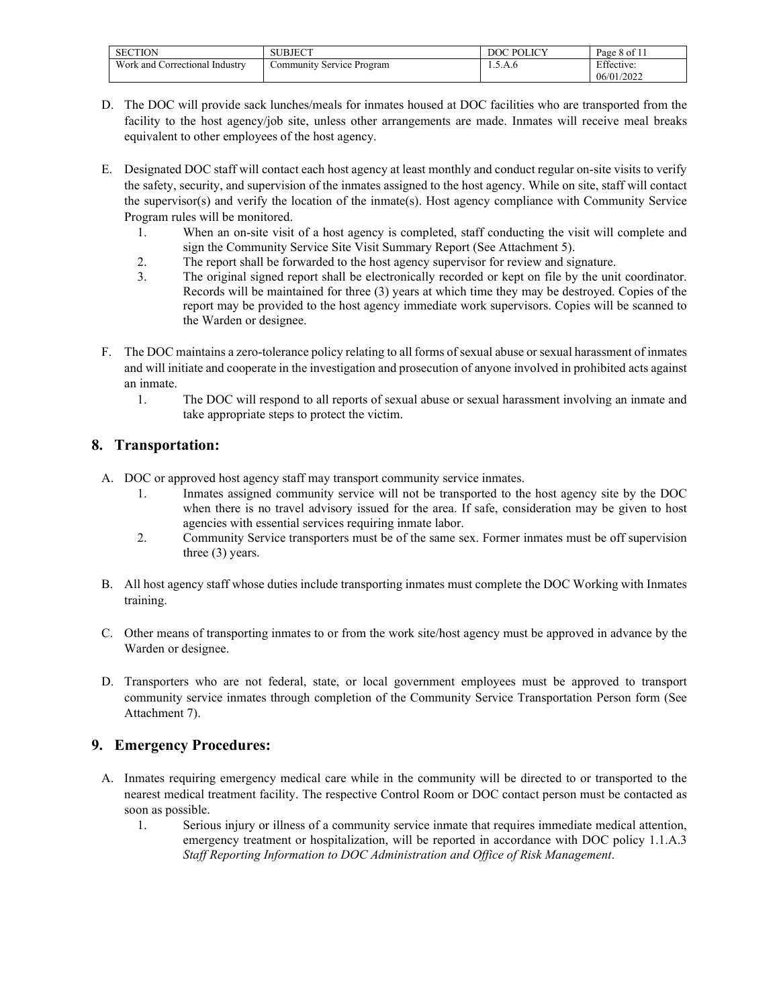| <b>SECTION</b>                         | SUBJECT                   | <b>POLICY</b><br>DOC | Page 8 of 11 |
|----------------------------------------|---------------------------|----------------------|--------------|
| Work and<br>. Industry<br>Correctional | Community Service Program | 1.J.A.0              | Effective:   |
|                                        |                           |                      | 06/01/2022   |

- D. The DOC will provide sack lunches/meals for inmates housed at DOC facilities who are transported from the facility to the host agency/job site, unless other arrangements are made. Inmates will receive meal breaks equivalent to other employees of the host agency.
- E. Designated DOC staff will contact each host agency at least monthly and conduct regular on-site visits to verify the safety, security, and supervision of the inmates assigned to the host agency. While on site, staff will contact the supervisor(s) and verify the location of the inmate(s). Host agency compliance with Community Service Program rules will be monitored.
	- 1. When an on-site visit of a host agency is completed, staff conducting the visit will complete and sign the Community Service Site Visit Summary Report (See Attachment 5).
	- 2. The report shall be forwarded to the host agency supervisor for review and signature.<br>The original signed report shall be electronically recorded or kent on file by the uni-
	- The original signed report shall be electronically recorded or kept on file by the unit coordinator. Records will be maintained for three (3) years at which time they may be destroyed. Copies of the report may be provided to the host agency immediate work supervisors. Copies will be scanned to the Warden or designee.
- F. The DOC maintains a zero-tolerance policy relating to all forms of sexual abuse or sexual harassment of inmates and will initiate and cooperate in the investigation and prosecution of anyone involved in prohibited acts against an inmate.
	- 1. The DOC will respond to all reports of sexual abuse or sexual harassment involving an inmate and take appropriate steps to protect the victim.

### **8. Transportation:**

- A. DOC or approved host agency staff may transport community service inmates.
	- 1. Inmates assigned community service will not be transported to the host agency site by the DOC when there is no travel advisory issued for the area. If safe, consideration may be given to host agencies with essential services requiring inmate labor.
	- 2. Community Service transporters must be of the same sex. Former inmates must be off supervision three (3) years.
- B. All host agency staff whose duties include transporting inmates must complete the DOC Working with Inmates training.
- C. Other means of transporting inmates to or from the work site/host agency must be approved in advance by the Warden or designee.
- D. Transporters who are not federal, state, or local government employees must be approved to transport community service inmates through completion of the Community Service Transportation Person form (See Attachment 7).

## **9. Emergency Procedures:**

- A. Inmates requiring emergency medical care while in the community will be directed to or transported to the nearest medical treatment facility. The respective Control Room or DOC contact person must be contacted as soon as possible.
	- 1. Serious injury or illness of a community service inmate that requires immediate medical attention, emergency treatment or hospitalization, will be reported in accordance with DOC policy 1.1.A.3 *Staff Reporting Information to DOC Administration and Office of Risk Management*.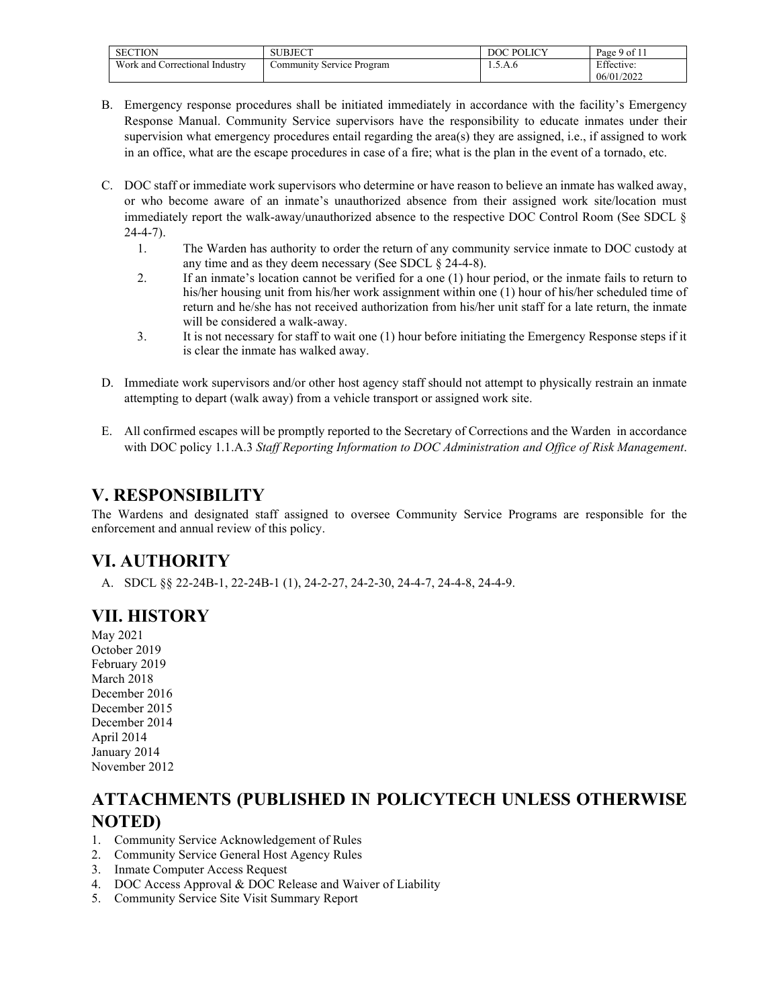| <b>SECTION</b>                       | SUBJECT<br>. J L. | <b>POLICY</b> | $^{\circ}$ 1<br>Page 9 of $l_1$ |
|--------------------------------------|-------------------|---------------|---------------------------------|
| Work and C.<br>Correctional Industry | Service Program   | 1.0.A.0       | $F^{\prime}$ 00<br>Effective:   |
|                                      |                   |               | 06/01/2022                      |

- B. Emergency response procedures shall be initiated immediately in accordance with the facility's Emergency Response Manual. Community Service supervisors have the responsibility to educate inmates under their supervision what emergency procedures entail regarding the area(s) they are assigned, i.e., if assigned to work in an office, what are the escape procedures in case of a fire; what is the plan in the event of a tornado, etc.
- C. DOC staff or immediate work supervisors who determine or have reason to believe an inmate has walked away, or who become aware of an inmate's unauthorized absence from their assigned work site/location must immediately report the walk-away/unauthorized absence to the respective DOC Control Room (See SDCL §  $24-4-7$ ).
	- 1. The Warden has authority to order the return of any community service inmate to DOC custody at any time and as they deem necessary (See SDCL § 24-4-8).
	- 2. If an inmate's location cannot be verified for a one (1) hour period, or the inmate fails to return to his/her housing unit from his/her work assignment within one (1) hour of his/her scheduled time of return and he/she has not received authorization from his/her unit staff for a late return, the inmate will be considered a walk-away.
	- 3. It is not necessary for staff to wait one (1) hour before initiating the Emergency Response steps if it is clear the inmate has walked away.
- D. Immediate work supervisors and/or other host agency staff should not attempt to physically restrain an inmate attempting to depart (walk away) from a vehicle transport or assigned work site.
- E. All confirmed escapes will be promptly reported to the Secretary of Corrections and the Warden in accordance with DOC policy 1.1.A.3 *Staff Reporting Information to DOC Administration and Office of Risk Management*.

# **V. RESPONSIBILITY**

The Wardens and designated staff assigned to oversee Community Service Programs are responsible for the enforcement and annual review of this policy.

# **VI. AUTHORITY**

A. SDCL §§ 22-24B-1, 22-24B-1 (1), 24-2-27, 24-2-30, 24-4-7, 24-4-8, 24-4-9.

# **VII. HISTORY**

May 2021 October 2019 February 2019 March 2018 December 2016 December 2015 December 2014 April 2014 January 2014 November 2012

# **ATTACHMENTS (PUBLISHED IN POLICYTECH UNLESS OTHERWISE NOTED)**

- 1. Community Service Acknowledgement of Rules
- 2. Community Service General Host Agency Rules
- 3. Inmate Computer Access Request
- 4. DOC Access Approval & DOC Release and Waiver of Liability
- 5. Community Service Site Visit Summary Report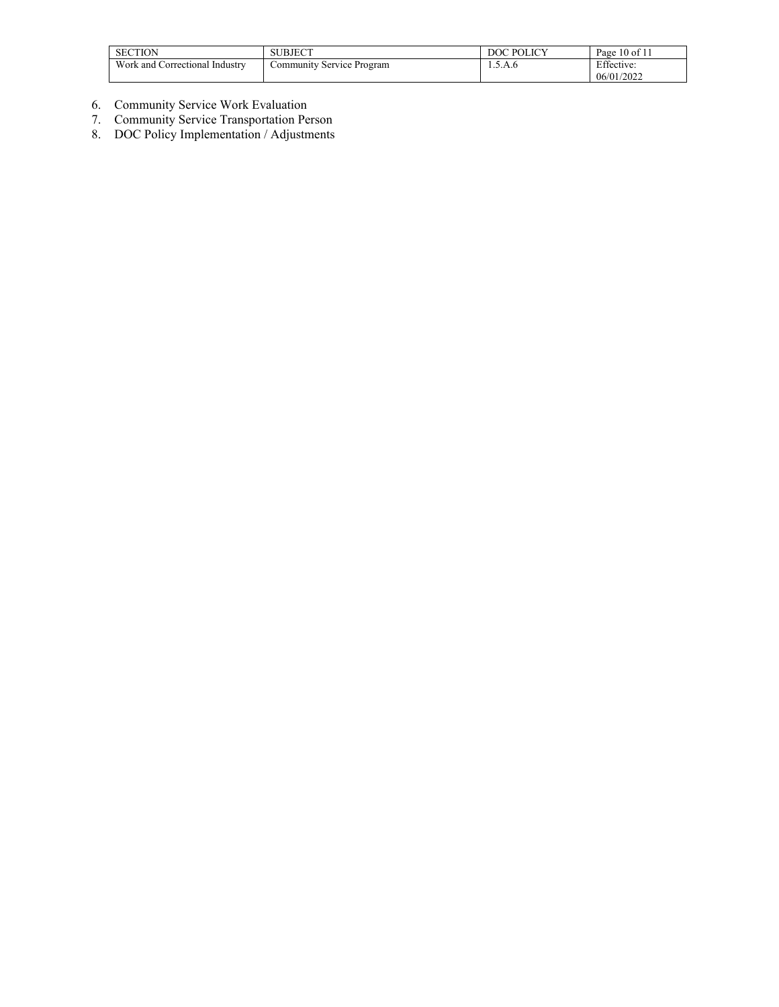| <b>SECTION</b>                 | SUBJECT           | <b>POLICY</b> | $10$ of $11$<br>Page          |
|--------------------------------|-------------------|---------------|-------------------------------|
| Work and Correctional Industry | ' Service Program | 1.0.A.0       | $F^{\prime}$ 00<br>Effective: |
|                                |                   |               | 06/01/2022                    |

- 6. Community Service Work Evaluation
- 7. Community Service Transportation Person
- 8. DOC Policy Implementation / Adjustments